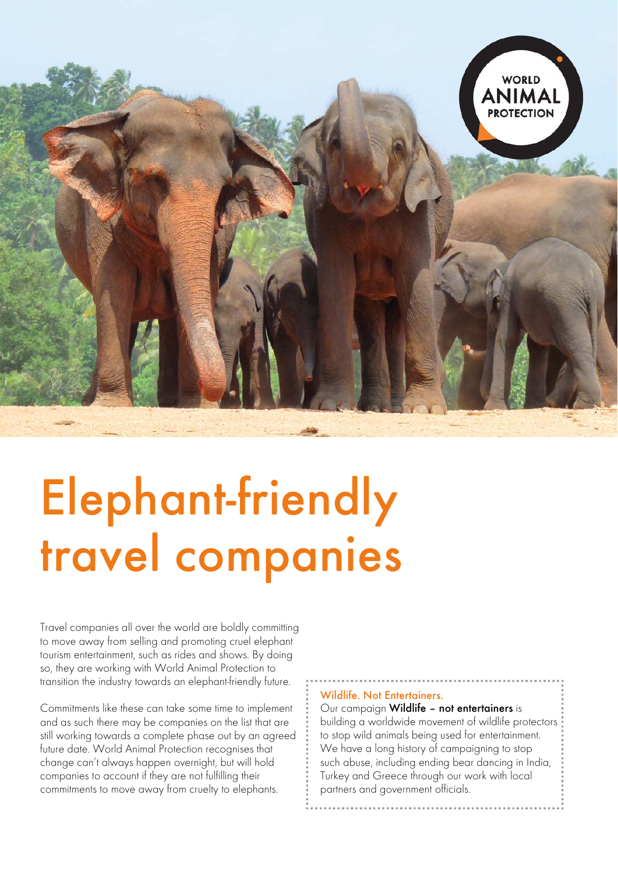

# Elephant-friendly travel companies

Travel companies all over the world are boldly committing to move away from selling and promoting cruel elephant tourism entertainment, such as rides and shows. By doing so, they are working with World Animal Protection to transition the industry towards an elephant-friendly future.

Commitments like these can take some time to implement and as such there may be companies on the list that are still working towards a complete phase out by an agreed future date. World Animal Protection recognises that change can't always happen overnight, but will hold companies to account if they are not fulfilling their commitments to move away from cruelty to elephants.

#### Wildlife. Not Entertainers.

Our campaign Wildlife – not entertainers is building a worldwide movement of wildlife protectors to stop wild animals being used for entertainment. We have a long history of campaigning to stop such abuse, including ending bear dancing in India, Turkey and Greece through our work with local partners and government officials.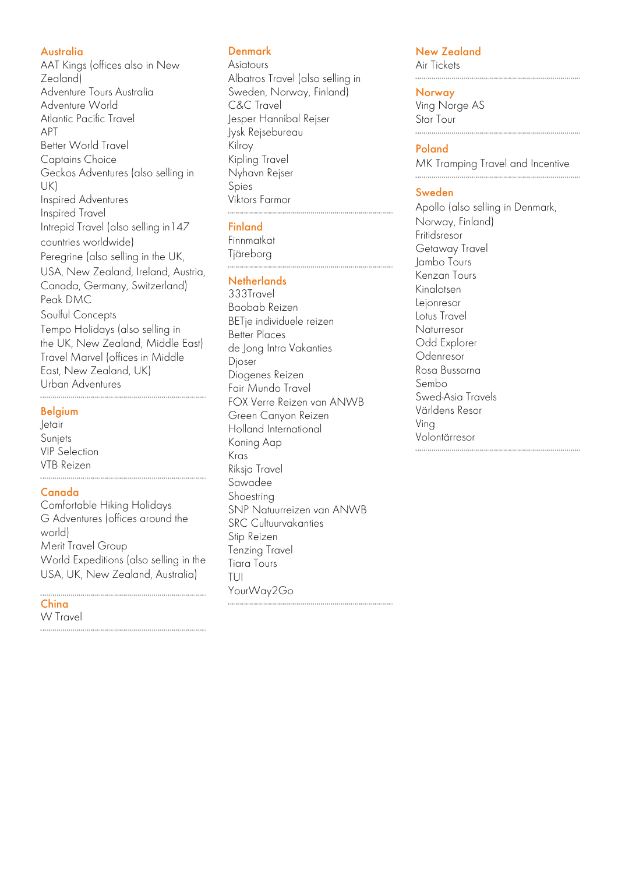#### **Australia**

AAT Kings (offices also in New Zealand) Adventure Tours Australia Adventure World Atlantic Pacific Travel APT Better World Travel Captains Choice Geckos Adventures (also selling in UK) Inspired Adventures Inspired Travel Intrepid Travel (also selling in147 countries worldwide) Peregrine (also selling in the UK, USA, New Zealand, Ireland, Austria, Canada, Germany, Switzerland) Peak DMC Soulful Concepts Tempo Holidays (also selling in the UK, New Zealand, Middle East) Travel Marvel (offices in Middle East, New Zealand, UK) Urban Adventures

#### Belgium

Jetair Sunjets VIP Selection VTB Reizen 

#### Canada

Comfortable Hiking Holidays G Adventures (offices around the world) Merit Travel Group World Expeditions (also selling in the USA, UK, New Zealand, Australia)

# China

W Travel

# Denmark

Asiatours Albatros Travel (also selling in Sweden, Norway, Finland) C&C Travel Jesper Hannibal Rejser Jysk Rejsebureau Kilroy Kipling Travel Nyhavn Rejser Spies Viktors Farmor 

### **Finland**

Finnmatkat Tjäreborg

#### **Netherlands**

333Travel Baobab Reizen BETje individuele reizen Better Places de Jong Intra Vakanties Djoser Diogenes Reizen Fair Mundo Travel FOX Verre Reizen van ANWB Green Canyon Reizen Holland International Koning Aap Kras Riksja Travel Sawadee Shoestring SNP Natuurreizen van ANWB SRC Cultuurvakanties Stip Reizen Tenzing Travel Tiara Tours TUI YourWay2Go

#### New Zealand

Air Tickets

#### **Norway**

Ving Norge AS Star Tour

#### Poland

MK Tramping Travel and Incentive 

## Sweden

Apollo (also selling in Denmark, Norway, Finland) Fritidsresor Getaway Travel Jambo Tours Kenzan Tours Kinalotsen Lejonresor Lotus Travel Naturresor Odd Explorer Odenresor Rosa Bussarna Sembo Swed-Asia Travels Världens Resor Ving Volontärresor